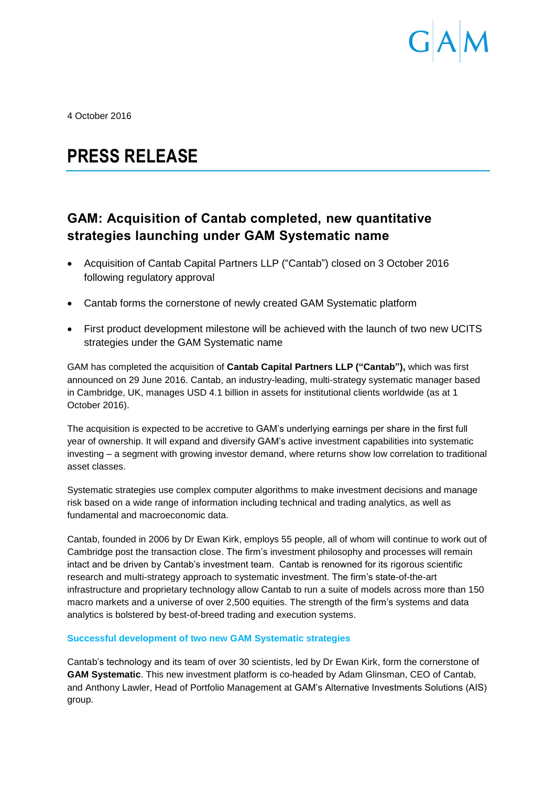

4 October 2016

# **PRESS RELEASE**

## **GAM: Acquisition of Cantab completed, new quantitative strategies launching under GAM Systematic name**

- Acquisition of Cantab Capital Partners LLP ("Cantab") closed on 3 October 2016 following regulatory approval
- Cantab forms the cornerstone of newly created GAM Systematic platform
- First product development milestone will be achieved with the launch of two new UCITS strategies under the GAM Systematic name

GAM has completed the acquisition of **Cantab Capital Partners LLP ("Cantab"),** which was first announced on 29 June 2016. Cantab, an industry-leading, multi-strategy systematic manager based in Cambridge, UK, manages USD 4.1 billion in assets for institutional clients worldwide (as at 1 October 2016).

The acquisition is expected to be accretive to GAM's underlying earnings per share in the first full year of ownership. It will expand and diversify GAM's active investment capabilities into systematic investing – a segment with growing investor demand, where returns show low correlation to traditional asset classes.

Systematic strategies use complex computer algorithms to make investment decisions and manage risk based on a wide range of information including technical and trading analytics, as well as fundamental and macroeconomic data.

Cantab, founded in 2006 by Dr Ewan Kirk, employs 55 people, all of whom will continue to work out of Cambridge post the transaction close. The firm's investment philosophy and processes will remain intact and be driven by Cantab's investment team. Cantab is renowned for its rigorous scientific research and multi-strategy approach to systematic investment. The firm's state-of-the-art infrastructure and proprietary technology allow Cantab to run a suite of models across more than 150 macro markets and a universe of over 2,500 equities. The strength of the firm's systems and data analytics is bolstered by best-of-breed trading and execution systems.

### **Successful development of two new GAM Systematic strategies**

Cantab's technology and its team of over 30 scientists, led by Dr Ewan Kirk, form the cornerstone of **GAM Systematic**. This new investment platform is co-headed by Adam Glinsman, CEO of Cantab, and Anthony Lawler, Head of Portfolio Management at GAM's Alternative Investments Solutions (AIS) group.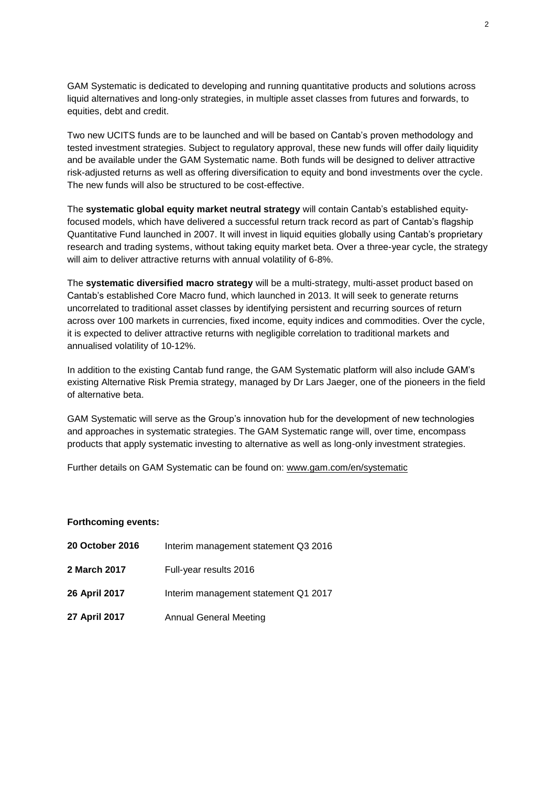GAM Systematic is dedicated to developing and running quantitative products and solutions across liquid alternatives and long-only strategies, in multiple asset classes from futures and forwards, to equities, debt and credit.

Two new UCITS funds are to be launched and will be based on Cantab's proven methodology and tested investment strategies. Subject to regulatory approval, these new funds will offer daily liquidity and be available under the GAM Systematic name. Both funds will be designed to deliver attractive risk-adjusted returns as well as offering diversification to equity and bond investments over the cycle. The new funds will also be structured to be cost-effective.

The **systematic global equity market neutral strategy** will contain Cantab's established equityfocused models, which have delivered a successful return track record as part of Cantab's flagship Quantitative Fund launched in 2007. It will invest in liquid equities globally using Cantab's proprietary research and trading systems, without taking equity market beta. Over a three-year cycle, the strategy will aim to deliver attractive returns with annual volatility of 6-8%.

The **systematic diversified macro strategy** will be a multi-strategy, multi-asset product based on Cantab's established Core Macro fund, which launched in 2013. It will seek to generate returns uncorrelated to traditional asset classes by identifying persistent and recurring sources of return across over 100 markets in currencies, fixed income, equity indices and commodities. Over the cycle, it is expected to deliver attractive returns with negligible correlation to traditional markets and annualised volatility of 10-12%.

In addition to the existing Cantab fund range, the GAM Systematic platform will also include GAM's existing Alternative Risk Premia strategy, managed by Dr Lars Jaeger, one of the pioneers in the field of alternative beta.

GAM Systematic will serve as the Group's innovation hub for the development of new technologies and approaches in systematic strategies. The GAM Systematic range will, over time, encompass products that apply systematic investing to alternative as well as long-only investment strategies.

Further details on GAM Systematic can be found on: [www.gam.com/en/systematic](http://www.gam.com/en/systematic)

#### **Forthcoming events:**

| <b>20 October 2016</b> | Interim management statement Q3 2016 |
|------------------------|--------------------------------------|
| 2 March 2017           | Full-year results 2016               |
| 26 April 2017          | Interim management statement Q1 2017 |
| 27 April 2017          | <b>Annual General Meeting</b>        |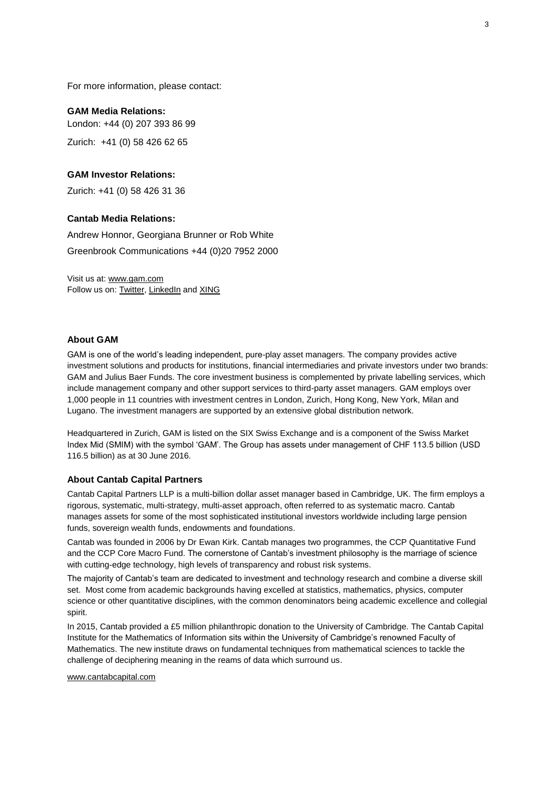For more information, please contact:

#### **GAM Media Relations:**

London: +44 (0) 207 393 86 99 Zurich: +41 (0) 58 426 62 65

#### **GAM Investor Relations:**

Zurich: +41 (0) 58 426 31 36

#### **Cantab Media Relations:**

Andrew Honnor, Georgiana Brunner or Rob White Greenbrook Communications +44 (0)20 7952 2000

Visit us at: [www.gam.com](http://www.gam.com/) Follow us on[: Twitter,](https://twitter.com/gaminsights) [LinkedIn](https://www.linkedin.com/company/gam?trk=company_logo) an[d XING](https://www.xing.com/companies/gam)

#### **About GAM**

GAM is one of the world's leading independent, pure-play asset managers. The company provides active investment solutions and products for institutions, financial intermediaries and private investors under two brands: GAM and Julius Baer Funds. The core investment business is complemented by private labelling services, which include management company and other support services to third-party asset managers. GAM employs over 1,000 people in 11 countries with investment centres in London, Zurich, Hong Kong, New York, Milan and Lugano. The investment managers are supported by an extensive global distribution network.

Headquartered in Zurich, GAM is listed on the SIX Swiss Exchange and is a component of the Swiss Market Index Mid (SMIM) with the symbol 'GAM'. The Group has assets under management of CHF 113.5 billion (USD 116.5 billion) as at 30 June 2016.

#### **About Cantab Capital Partners**

Cantab Capital Partners LLP is a multi-billion dollar asset manager based in Cambridge, UK. The firm employs a rigorous, systematic, multi-strategy, multi-asset approach, often referred to as systematic macro. Cantab manages assets for some of the most sophisticated institutional investors worldwide including large pension funds, sovereign wealth funds, endowments and foundations.

Cantab was founded in 2006 by Dr Ewan Kirk. Cantab manages two programmes, the CCP Quantitative Fund and the CCP Core Macro Fund. The cornerstone of Cantab's investment philosophy is the marriage of science with cutting-edge technology, high levels of transparency and robust risk systems.

The majority of Cantab's team are dedicated to investment and technology research and combine a diverse skill set. Most come from academic backgrounds having excelled at statistics, mathematics, physics, computer science or other quantitative disciplines, with the common denominators being academic excellence and collegial spirit.

In 2015, Cantab provided a £5 million philanthropic donation to the University of Cambridge. The Cantab Capital Institute for the Mathematics of Information sits within the University of Cambridge's renowned Faculty of Mathematics. The new institute draws on fundamental techniques from mathematical sciences to tackle the challenge of deciphering meaning in the reams of data which surround us.

[www.cantabcapital.com](http://www.cantabcapital.com/)